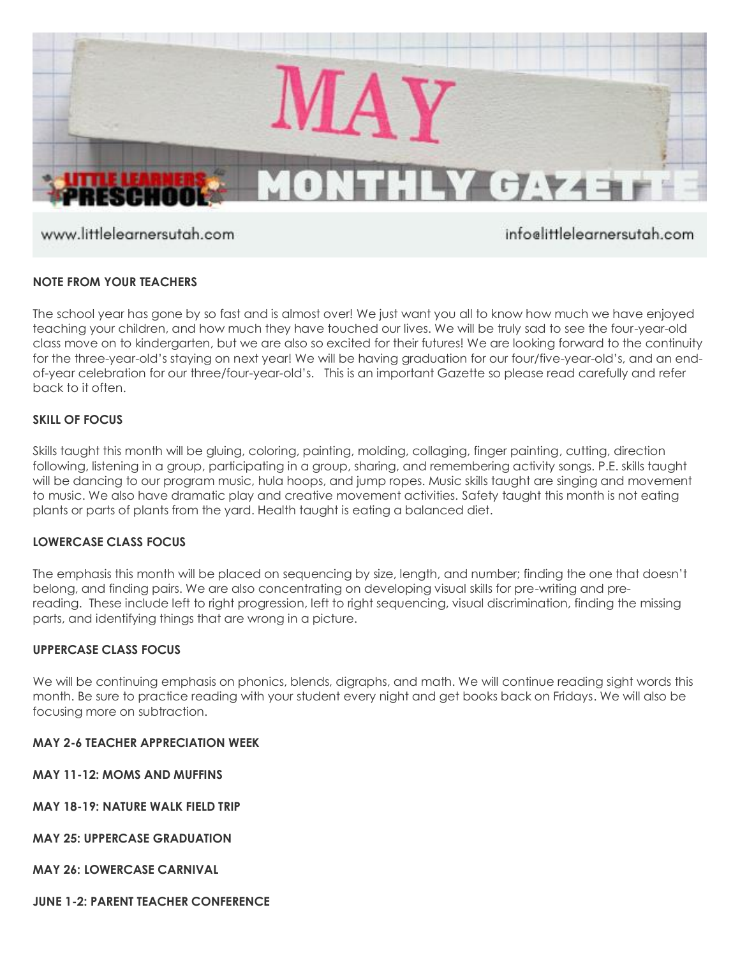

www.littlelearnersutah.com

infoelittlelearnersutah.com

# **NOTE FROM YOUR TEACHERS**

The school year has gone by so fast and is almost over! We just want you all to know how much we have enjoyed teaching your children, and how much they have touched our lives. We will be truly sad to see the four-year-old class move on to kindergarten, but we are also so excited for their futures! We are looking forward to the continuity for the three-year-old's staying on next year! We will be having graduation for our four/five-year-old's, and an endof-year celebration for our three/four-year-old's. This is an important Gazette so please read carefully and refer back to it often.

# **SKILL OF FOCUS**

Skills taught this month will be gluing, coloring, painting, molding, collaging, finger painting, cutting, direction following, listening in a group, participating in a group, sharing, and remembering activity songs. P.E. skills taught will be dancing to our program music, hula hoops, and jump ropes. Music skills taught are singing and movement to music. We also have dramatic play and creative movement activities. Safety taught this month is not eating plants or parts of plants from the yard. Health taught is eating a balanced diet.

# **LOWERCASE CLASS FOCUS**

The emphasis this month will be placed on sequencing by size, length, and number; finding the one that doesn't belong, and finding pairs. We are also concentrating on developing visual skills for pre-writing and prereading. These include left to right progression, left to right sequencing, visual discrimination, finding the missing parts, and identifying things that are wrong in a picture.

# **UPPERCASE CLASS FOCUS**

We will be continuing emphasis on phonics, blends, digraphs, and math. We will continue reading sight words this month. Be sure to practice reading with your student every night and get books back on Fridays. We will also be focusing more on subtraction.

#### **MAY 2-6 TEACHER APPRECIATION WEEK**

**MAY 11-12: MOMS AND MUFFINS**

**MAY 18-19: NATURE WALK FIELD TRIP**

**MAY 25: UPPERCASE GRADUATION**

**MAY 26: LOWERCASE CARNIVAL**

**JUNE 1-2: PARENT TEACHER CONFERENCE**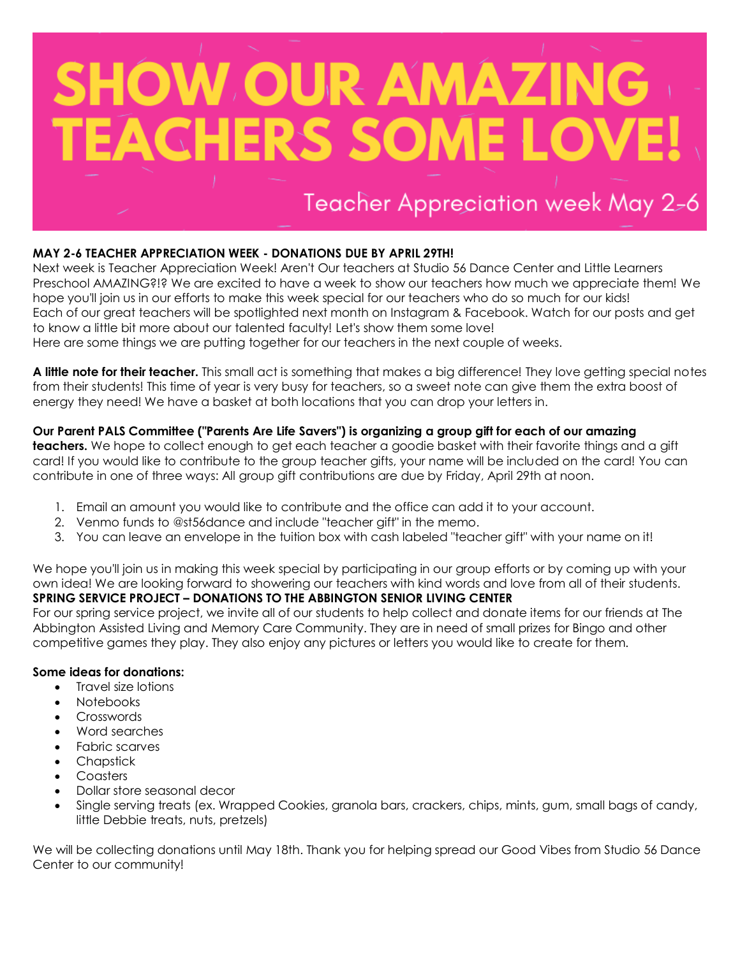

# **MAY 2-6 TEACHER APPRECIATION WEEK - DONATIONS DUE BY APRIL 29TH!**

Next week is Teacher Appreciation Week! Aren't Our teachers at Studio 56 Dance Center and Little Learners Preschool AMAZING?!? We are excited to have a week to show our teachers how much we appreciate them! We hope you'll join us in our efforts to make this week special for our teachers who do so much for our kids! Each of our great teachers will be spotlighted next month on Instagram & Facebook. Watch for our posts and get to know a little bit more about our talented faculty! Let's show them some love! Here are some things we are putting together for our teachers in the next couple of weeks.

**A little note for their teacher.** This small act is something that makes a big difference! They love getting special notes from their students! This time of year is very busy for teachers, so a sweet note can give them the extra boost of

energy they need! We have a basket at both locations that you can drop your letters in.

# **Our Parent PALS Committee ("Parents Are Life Savers") is organizing a group gift for each of our amazing**

**teachers.** We hope to collect enough to get each teacher a goodie basket with their favorite things and a gift card! If you would like to contribute to the group teacher gifts, your name will be included on the card! You can contribute in one of three ways: All group gift contributions are due by Friday, April 29th at noon.

- 1. Email an amount you would like to contribute and the office can add it to your account.
- 2. Venmo funds to @st56dance and include "teacher gift" in the memo.
- 3. You can leave an envelope in the tuition box with cash labeled "teacher gift" with your name on it!

We hope you'll join us in making this week special by participating in our group efforts or by coming up with your own idea! We are looking forward to showering our teachers with kind words and love from all of their students. **SPRING SERVICE PROJECT – DONATIONS TO THE ABBINGTON SENIOR LIVING CENTER**

For our spring service project, we invite all of our students to help collect and donate items for our friends at The Abbington Assisted Living and Memory Care Community. They are in need of small prizes for Bingo and other competitive games they play. They also enjoy any pictures or letters you would like to create for them.

# **Some ideas for donations:**

- Travel size lotions
- Notebooks
- Crosswords
- Word searches
- **•** Fabric scarves
- Chapstick
- Coasters
- Dollar store seasonal decor
- Single serving treats (ex. Wrapped Cookies, granola bars, crackers, chips, mints, gum, small bags of candy, little Debbie treats, nuts, pretzels)

We will be collecting donations until May 18th. Thank you for helping spread our Good Vibes from Studio 56 Dance Center to our community!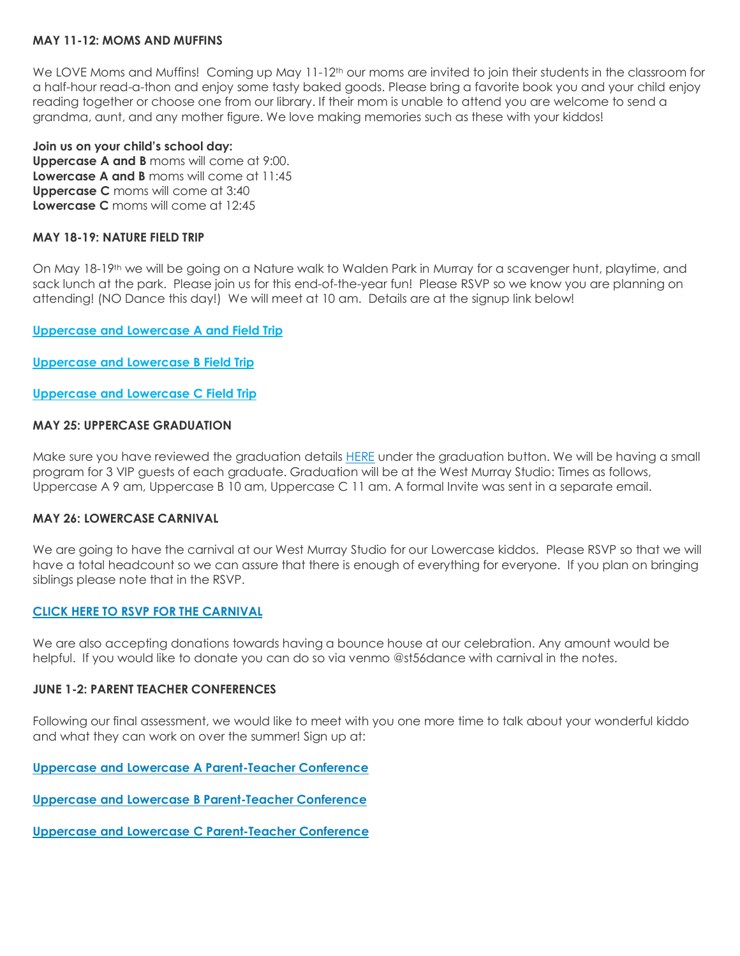#### **MAY 11-12: MOMS AND MUFFINS**

We LOVE Moms and Muffins! Coming up May 11-12<sup>th</sup> our moms are invited to join their students in the classroom for a half-hour read-a-thon and enjoy some tasty baked goods. Please bring a favorite book you and your child enjoy reading together or choose one from our library. If their mom is unable to attend you are welcome to send a grandma, aunt, and any mother figure. We love making memories such as these with your kiddos!

#### **Join us on your child's school day:**

**Uppercase A and B** moms will come at 9:00. **Lowercase A and B** moms will come at 11:45 **Uppercase C** moms will come at 3:40 **Lowercase C** moms will come at 12:45

#### **MAY 18-19: NATURE FIELD TRIP**

On May 18-19th we will be going on a Nature walk to Walden Park in Murray for a scavenger hunt, playtime, and sack lunch at the park. Please join us for this end-of-the-year fun! Please RSVP so we know you are planning on attending! (NO Dance this day!) We will meet at 10 am. Details are at the signup link below!

**[Uppercase and Lowercase A and Field Trip](https://www.signupgenius.com/go/4090f4aaaaf22a3fb6-uppercase43)**

**[Uppercase and Lowercase B Field Trip](https://www.signupgenius.com/go/4090f4aaaaf22a3fb6-uppercase)**

**[Uppercase and Lowercase C Field Trip](https://www.signupgenius.com/go/4090f4aaaaf22a3fb6-uppercase1)**

#### **MAY 25: UPPERCASE GRADUATION**

Make sure you have reviewed the graduation details **[HERE](https://www.littlelearnersutah.com/parent-corner.html)** under the graduation button. We will be having a small program for 3 VIP guests of each graduate. Graduation will be at the West Murray Studio: Times as follows, Uppercase A 9 am, Uppercase B 10 am, Uppercase C 11 am. A formal Invite was sent in a separate email.

#### **MAY 26: LOWERCASE CARNIVAL**

We are going to have the carnival at our West Murray Studio for our Lowercase kiddos. Please RSVP so that we will have a total headcount so we can assure that there is enough of everything for everyone. If you plan on bringing siblings please note that in the RSVP.

#### **[CLICK HERE TO RSVP FOR THE CARNIVAL](https://www.signupgenius.com/go/4090F4AAAAF22A3FB6-lowercase)**

We are also accepting donations towards having a bounce house at our celebration. Any amount would be helpful. If you would like to donate you can do so via venmo @st56dance with carnival in the notes.

#### **JUNE 1-2: PARENT TEACHER CONFERENCES**

Following our final assessment, we would like to meet with you one more time to talk about your wonderful kiddo and what they can work on over the summer! Sign up at:

**[Uppercase and Lowercase A Parent-Teacher Conference](https://www.signupgenius.com/go/4090f4aaaaf22a3fb6-ptclowercase5)**

**[Uppercase and Lowercase B Parent-Teacher Conference](https://www.signupgenius.com/go/4090f4aaaaf22a3fb6-ptclowercase6)**

**[Uppercase and Lowercase C Parent-Teacher Conference](https://www.signupgenius.com/go/4090f4aaaaf22a3fb6-ptcuppercase4)**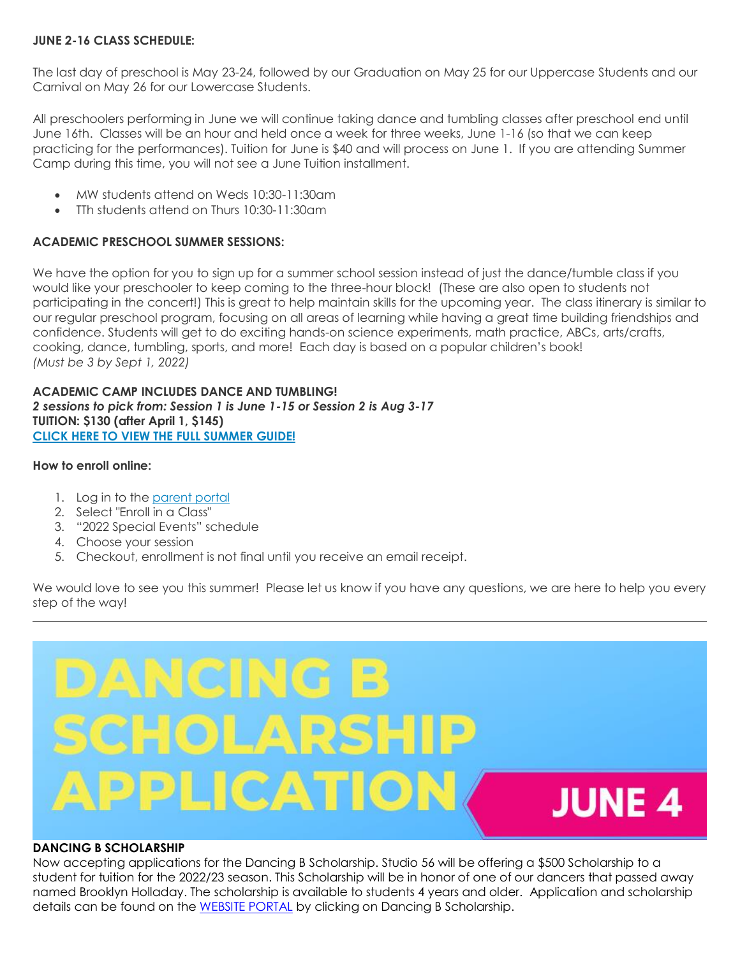## **JUNE 2-16 CLASS SCHEDULE:**

The last day of preschool is May 23-24, followed by our Graduation on May 25 for our Uppercase Students and our Carnival on May 26 for our Lowercase Students.

All preschoolers performing in June we will continue taking dance and tumbling classes after preschool end until June 16th. Classes will be an hour and held once a week for three weeks, June 1-16 (so that we can keep practicing for the performances). Tuition for June is \$40 and will process on June 1. If you are attending Summer Camp during this time, you will not see a June Tuition installment.

- MW students attend on Weds 10:30-11:30am
- TTh students attend on Thurs 10:30-11:30am

## **ACADEMIC PRESCHOOL SUMMER SESSIONS:**

We have the option for you to sign up for a summer school session instead of just the dance/tumble class if you would like your preschooler to keep coming to the three-hour block! (These are also open to students not participating in the concert!) This is great to help maintain skills for the upcoming year. The class itinerary is similar to our regular preschool program, focusing on all areas of learning while having a great time building friendships and confidence. Students will get to do exciting hands-on science experiments, math practice, ABCs, arts/crafts, cooking, dance, tumbling, sports, and more! Each day is based on a popular children's book! *(Must be 3 by Sept 1, 2022)*

**ACADEMIC CAMP INCLUDES DANCE AND TUMBLING!** *2 sessions to pick from: Session 1 is June 1-15 or Session 2 is Aug 3-17* **TUITION: \$130 (after April 1, \$145) [CLICK HERE TO VIEW THE FULL SUMMER GUIDE!](https://online.pubhtml5.com/fcfu/qlfh/#p=1)**

#### **How to enroll online:**

- 1. Log in to the [parent portal](https://app.thestudiodirector.com/studio56dance/portal.sd?page=Login)
- 2. Select "Enroll in a Class"
- 3. "2022 Special Events" schedule
- 4. Choose your session
- 5. Checkout, enrollment is not final until you receive an email receipt.

We would love to see you this summer! Please let us know if you have any questions, we are here to help you every step of the way!



#### **DANCING B SCHOLARSHIP**

Now accepting applications for the Dancing B Scholarship. Studio 56 will be offering a \$500 Scholarship to a student for tuition for the 2022/23 season. This Scholarship will be in honor of one of our dancers that passed away named Brooklyn Holladay. The scholarship is available to students 4 years and older. Application and scholarship details can be found on the [WEBSITE PORTAL](https://studio56dance.com/portal/) by clicking on Dancing B Scholarship.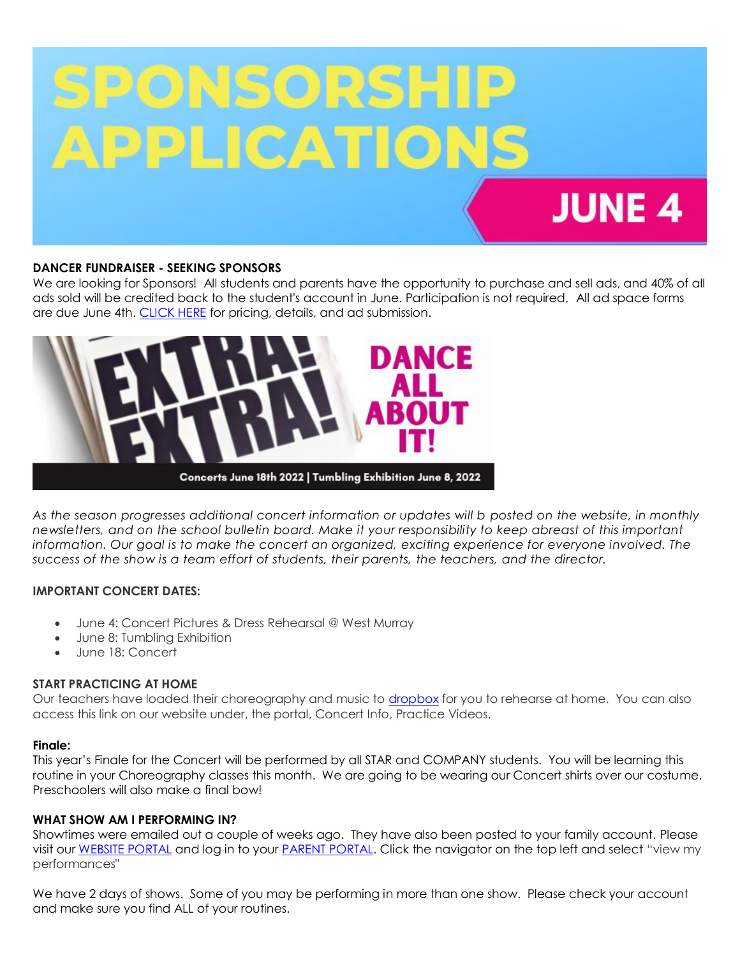

#### **DANCER FUNDRAISER - SEEKING SPONSORS**

We are looking for Sponsors! All students and parents have the opportunity to purchase and sell ads, and 40% of all ads sold will be credited back to the student's account in June. Participation is not required. All ad space forms are due June 4th. [CLICK HERE](https://forms.gle/GyJ9Q4XZtBRSjdpS9) for pricing, details, and ad submission.



*As the season progresses additional concert information or updates will b posted on the website, in monthly newsletters, and on the school bulletin board. Make it your responsibility to keep abreast of this important information. Our goal is to make the concert an organized, exciting experience for everyone involved. The success of the show is a team effort of students, their parents, the teachers, and the director.*

# **IMPORTANT CONCERT DATES:**

- June 4: Concert Pictures & Dress Rehearsal @ West Murray
- June 8: Tumbling Exhibition
- June 18: Concert

#### **START PRACTICING AT HOME**

Our teachers have loaded their choreography and music to [dropbox](https://www.dropbox.com/sh/d0gzotg8cvuztnt/AADKR8dw67Ns0nVibRY6DpLDa?dl=0) for you to rehearse at home. You can also access this link on our website under, the portal, Concert Info, Practice Videos.

#### **Finale:**

This year's Finale for the Concert will be performed by all STAR and COMPANY students. You will be learning this routine in your Choreography classes this month. We are going to be wearing our Concert shirts over our costume. Preschoolers will also make a final bow!

# **WHAT SHOW AM I PERFORMING IN?**

Showtimes were emailed out a couple of weeks ago. They have also been posted to your family account. Please visit our [WEBSITE PORTAL](https://studio56dance.com/portal/) and log in to your [PARENT PORTAL.](https://app.thestudiodirector.com/studio56dance/portal.sd?page=Login) Click the navigator on the top left and select "view my performances"

We have 2 days of shows. Some of you may be performing in more than one show. Please check your account and make sure you find ALL of your routines.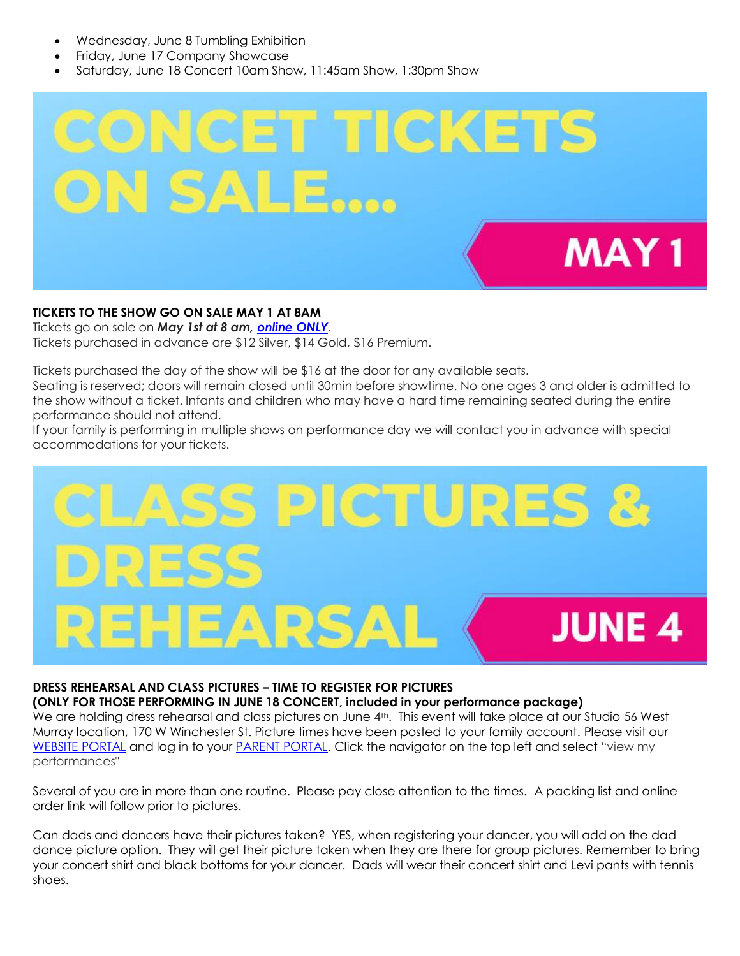- Wednesday, June 8 Tumbling Exhibition
- Friday, June 17 Company Showcase
- Saturday, June 18 Concert 10am Show, 11:45am Show, 1:30pm Show



# **TICKETS TO THE SHOW GO ON SALE MAY 1 AT 8AM**

Tickets go on sale on *May 1st at 8 am, [online ONLY](https://sites.google.com/studio56dance.com/2021-concert-information/menu/tickets?authuser=0)*.

Tickets purchased in advance are \$12 Silver, \$14 Gold, \$16 Premium.

Tickets purchased the day of the show will be \$16 at the door for any available seats.

Seating is reserved; doors will remain closed until 30min before showtime. No one ages 3 and older is admitted to the show without a ticket. Infants and children who may have a hard time remaining seated during the entire performance should not attend.

If your family is performing in multiple shows on performance day we will contact you in advance with special accommodations for your tickets.



# **DRESS REHEARSAL AND CLASS PICTURES – TIME TO REGISTER FOR PICTURES**

#### **(ONLY FOR THOSE PERFORMING IN JUNE 18 CONCERT, included in your performance package)**

We are holding dress rehearsal and class pictures on June 4<sup>th</sup>. This event will take place at our Studio 56 West Murray location, 170 W Winchester St. Picture times have been posted to your family account. Please visit our [WEBSITE PORTAL](https://studio56dance.com/portal/) and log in to your [PARENT PORTAL.](https://app.thestudiodirector.com/studio56dance/portal.sd?page=Login) Click the navigator on the top left and select "view my performances"

Several of you are in more than one routine. Please pay close attention to the times. A packing list and online order link will follow prior to pictures.

Can dads and dancers have their pictures taken? YES, when registering your dancer, you will add on the dad dance picture option. They will get their picture taken when they are there for group pictures. Remember to bring your concert shirt and black bottoms for your dancer. Dads will wear their concert shirt and Levi pants with tennis shoes.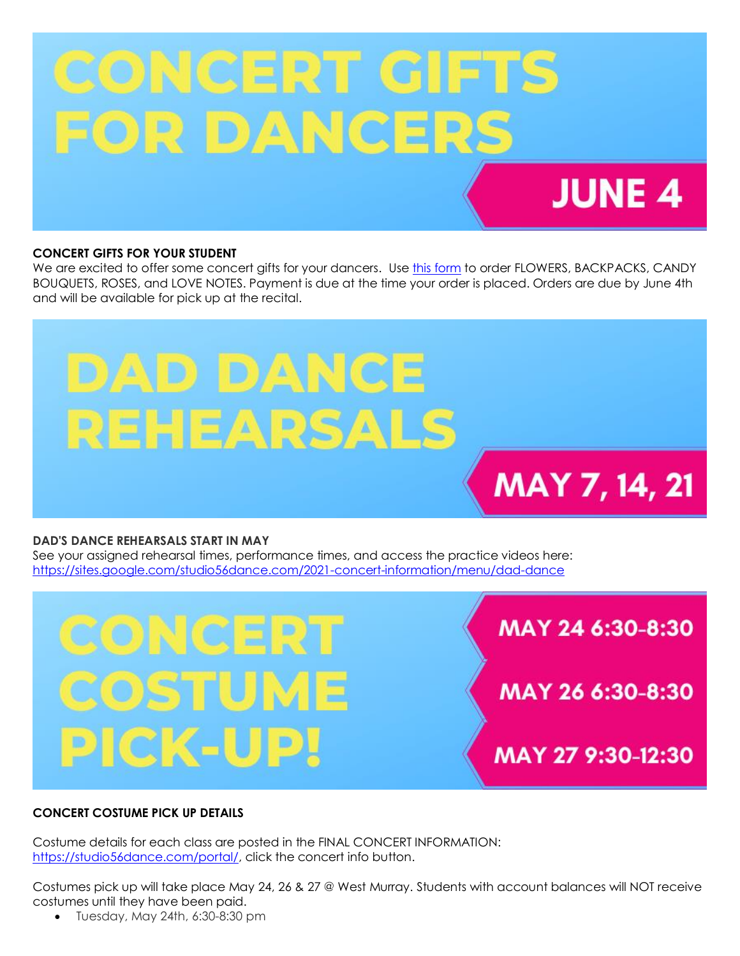# **CONCERT GIFTS** FOR DANCERS **JUNE 4**

## **CONCERT GIFTS FOR YOUR STUDENT**

We are excited to offer some concert gifts for your dancers. Use [this form](https://sites.google.com/studio56dance.com/2021-concert-information/menu/gifts) to order FLOWERS, BACKPACKS, CANDY BOUQUETS, ROSES, and LOVE NOTES. Payment is due at the time your order is placed. Orders are due by June 4th and will be available for pick up at the recital.



#### **DAD'S DANCE REHEARSALS START IN MAY**

See your assigned rehearsal times, performance times, and access the practice videos here: <https://sites.google.com/studio56dance.com/2021-concert-information/menu/dad-dance>





# **CONCERT COSTUME PICK UP DETAILS**

Costume details for each class are posted in the FINAL CONCERT INFORMATION: [https://studio56dance.com/portal/,](https://studio56dance.com/portal/) click the concert info button.

Costumes pick up will take place May 24, 26 & 27 @ West Murray. Students with account balances will NOT receive costumes until they have been paid.

Tuesday, May 24th, 6:30-8:30 pm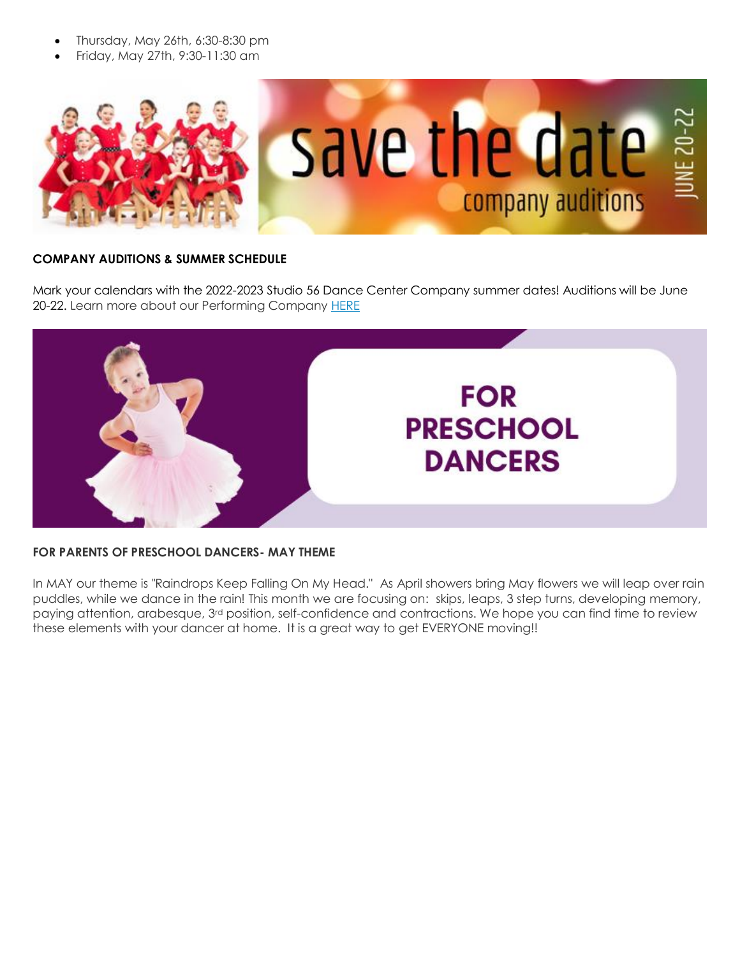- Thursday, May 26th, 6:30-8:30 pm
- Friday, May 27th, 9:30-11:30 am



## **COMPANY AUDITIONS & SUMMER SCHEDULE**

Mark your calendars with the 2022-2023 Studio 56 Dance Center Company summer dates! Auditions will be June 20-22. Learn more about our Performing Company [HERE](https://studio-56-dance-center.studiosuite.io/m/website-performing-company)



#### **FOR PARENTS OF PRESCHOOL DANCERS- MAY THEME**

In MAY our theme is "Raindrops Keep Falling On My Head." As April showers bring May flowers we will leap over rain puddles, while we dance in the rain! This month we are focusing on: skips, leaps, 3 step turns, developing memory, paying attention, arabesque, 3rd position, self-confidence and contractions. We hope you can find time to review these elements with your dancer at home. It is a great way to get EVERYONE moving!!